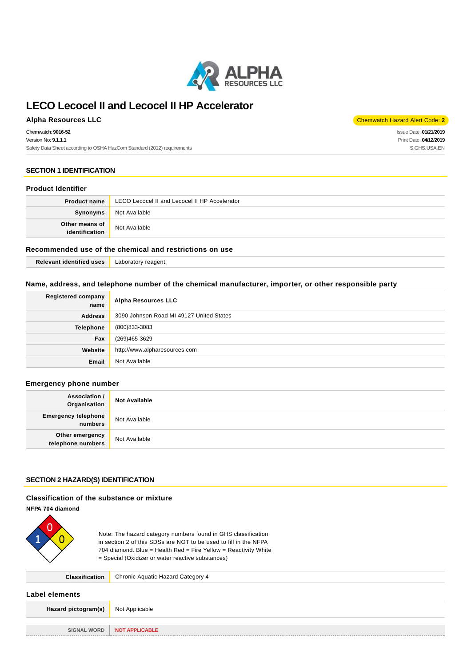

## **Alpha Resources LLC** Chemwatch Hazard Alert Code: **2**

Chemwatch: **9016-52** Version No: **9.1.1.1** Safety Data Sheet according to OSHA HazCom Standard (2012) requirements

Issue Date: **01/21/2019** Print Date: **04/12/2019** S.GHS.USA.EN

#### **SECTION 1 IDENTIFICATION**

#### **Product Identifier**

| <b>Product name</b>              | LECO Lecocel II and Lecocel II HP Accelerator |
|----------------------------------|-----------------------------------------------|
| Synonyms                         | Not Available                                 |
| Other means of<br>identification | Not Available                                 |

#### **Recommended use of the chemical and restrictions on use**

**Relevant identified uses** Laboratory reagent.

#### **Name, address, and telephone number of the chemical manufacturer, importer, or other responsible party**

| <b>Registered company</b><br>name | <b>Alpha Resources LLC</b>               |
|-----------------------------------|------------------------------------------|
| <b>Address</b>                    | 3090 Johnson Road MI 49127 United States |
| <b>Telephone</b>                  | (800)833-3083                            |
| Fax                               | (269)465-3629                            |
| Website                           | http://www.alpharesources.com            |
| Email                             | Not Available                            |

#### **Emergency phone number**

| Association /<br>Organisation         | <b>Not Available</b> |
|---------------------------------------|----------------------|
| <b>Emergency telephone</b><br>numbers | Not Available        |
| Other emergency<br>telephone numbers  | Not Available        |

#### **SECTION 2 HAZARD(S) IDENTIFICATION**

## **Classification of the substance or mixture**

#### **NFPA 704 diamond**



Note: The hazard category numbers found in GHS classification in section 2 of this SDSs are NOT to be used to fill in the NFPA 704 diamond. Blue = Health Red = Fire Yellow = Reactivity White = Special (Oxidizer or water reactive substances)

**Classification** Chronic Aquatic Hazard Category 4

**Label elements**

| _ _ _ _ _ . _                             |                       |
|-------------------------------------------|-----------------------|
| <b>Hazard pictogram(s)</b> Not Applicable |                       |
|                                           |                       |
| SIGNAL WORD                               | <b>NOT APPLICABLE</b> |
|                                           |                       |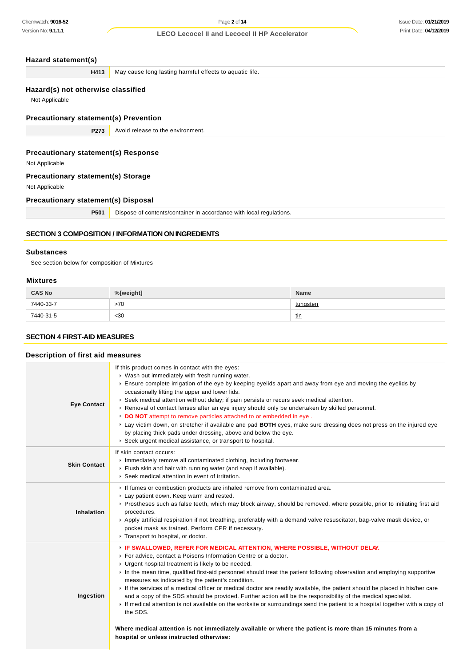**H413** May cause long lasting harmful effects to aquatic life.

## **Hazard(s) not otherwise classified**

Not Applicable

**Precautionary statement(s) Prevention**

**P273** Avoid release to the environment.

#### **Precautionary statement(s) Response**

Not Applicable

## **Precautionary statement(s) Storage**

Not Applicable

## **Precautionary statement(s) Disposal**

**P501** Dispose of contents/container in accordance with local regulations.

## **SECTION 3 COMPOSITION / INFORMATION ON INGREDIENTS**

#### **Substances**

See section below for composition of Mixtures

## **Mixtures**

| <b>CAS No</b> | %[weight] | <b>Name</b> |
|---------------|-----------|-------------|
| 7440-33-7     | >70       | tungsten    |
| 7440-31-5     | <30       | <u>tin</u>  |

## **SECTION 4 FIRST-AID MEASURES**

#### **Description of first aid measures**

| <b>Eye Contact</b>  | If this product comes in contact with the eyes:<br>• Wash out immediately with fresh running water.<br>Ensure complete irrigation of the eye by keeping eyelids apart and away from eye and moving the eyelids by<br>occasionally lifting the upper and lower lids.<br>► Seek medical attention without delay; if pain persists or recurs seek medical attention.<br>► Removal of contact lenses after an eye injury should only be undertaken by skilled personnel.<br>DO NOT attempt to remove particles attached to or embedded in eye.<br>► Lay victim down, on stretcher if available and pad BOTH eyes, make sure dressing does not press on the injured eye<br>by placing thick pads under dressing, above and below the eye.<br>Seek urgent medical assistance, or transport to hospital.                                                                                                                                      |
|---------------------|----------------------------------------------------------------------------------------------------------------------------------------------------------------------------------------------------------------------------------------------------------------------------------------------------------------------------------------------------------------------------------------------------------------------------------------------------------------------------------------------------------------------------------------------------------------------------------------------------------------------------------------------------------------------------------------------------------------------------------------------------------------------------------------------------------------------------------------------------------------------------------------------------------------------------------------|
| <b>Skin Contact</b> | If skin contact occurs:<br>Immediately remove all contaminated clothing, including footwear.<br>Flush skin and hair with running water (and soap if available).<br>▶ Seek medical attention in event of irritation.                                                                                                                                                                                                                                                                                                                                                                                                                                                                                                                                                                                                                                                                                                                    |
| Inhalation          | If fumes or combustion products are inhaled remove from contaminated area.<br>Lay patient down. Keep warm and rested.<br>▶ Prostheses such as false teeth, which may block airway, should be removed, where possible, prior to initiating first aid<br>procedures.<br>▶ Apply artificial respiration if not breathing, preferably with a demand valve resuscitator, bag-valve mask device, or<br>pocket mask as trained. Perform CPR if necessary.<br>Transport to hospital, or doctor.                                                                                                                                                                                                                                                                                                                                                                                                                                                |
| Ingestion           | FIF SWALLOWED, REFER FOR MEDICAL ATTENTION, WHERE POSSIBLE, WITHOUT DELAY.<br>For advice, contact a Poisons Information Centre or a doctor.<br>• Urgent hospital treatment is likely to be needed.<br>In the mean time, qualified first-aid personnel should treat the patient following observation and employing supportive<br>measures as indicated by the patient's condition.<br>If the services of a medical officer or medical doctor are readily available, the patient should be placed in his/her care<br>and a copy of the SDS should be provided. Further action will be the responsibility of the medical specialist.<br>If medical attention is not available on the worksite or surroundings send the patient to a hospital together with a copy of<br>the SDS.<br>Where medical attention is not immediately available or where the patient is more than 15 minutes from a<br>hospital or unless instructed otherwise: |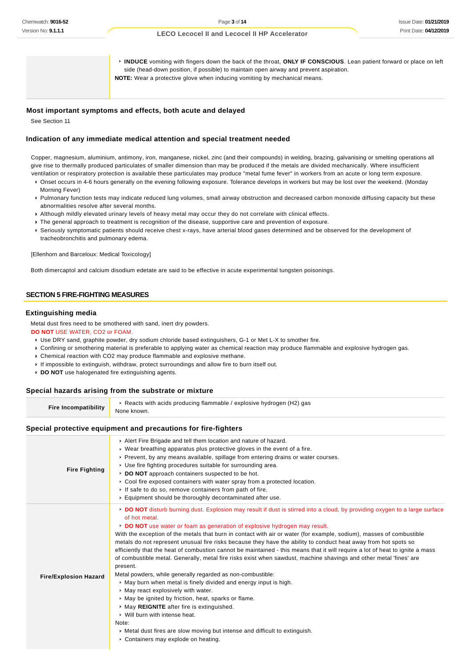**INDUCE** vomiting with fingers down the back of the throat, **ONLY IF CONSCIOUS**. Lean patient forward or place on left side (head-down position, if possible) to maintain open airway and prevent aspiration. **NOTE:** Wear a protective glove when inducing vomiting by mechanical means.

#### **Most important symptoms and effects, both acute and delayed**

See Section 11

#### **Indication of any immediate medical attention and special treatment needed**

Copper, magnesium, aluminium, antimony, iron, manganese, nickel, zinc (and their compounds) in welding, brazing, galvanising or smelting operations all give rise to thermally produced particulates of smaller dimension than may be produced if the metals are divided mechanically. Where insufficient ventilation or respiratory protection is available these particulates may produce "metal fume fever" in workers from an acute or long term exposure.

- Onset occurs in 4-6 hours generally on the evening following exposure. Tolerance develops in workers but may be lost over the weekend. (Monday Morning Fever)
- Pulmonary function tests may indicate reduced lung volumes, small airway obstruction and decreased carbon monoxide diffusing capacity but these abnormalities resolve after several months.
- Although mildly elevated urinary levels of heavy metal may occur they do not correlate with clinical effects.
- **F** The general approach to treatment is recognition of the disease, supportive care and prevention of exposure.
- Seriously symptomatic patients should receive chest x-rays, have arterial blood gases determined and be observed for the development of tracheobronchitis and pulmonary edema.

[Ellenhorn and Barceloux: Medical Toxicology]

Both dimercaptol and calcium disodium edetate are said to be effective in acute experimental tungsten poisonings.

## **SECTION 5 FIRE-FIGHTING MEASURES**

#### **Extinguishing media**

Metal dust fires need to be smothered with sand, inert dry powders.

#### **DO NOT** USE WATER, CO2 or FOAM.

- Use DRY sand, graphite powder, dry sodium chloride based extinguishers, G-1 or Met L-X to smother fire.
- Confining or smothering material is preferable to applying water as chemical reaction may produce flammable and explosive hydrogen gas.
- Chemical reaction with CO2 may produce flammable and explosive methane.
- If impossible to extinguish, withdraw, protect surroundings and allow fire to burn itself out.
- **DO NOT** use halogenated fire extinguishing agents.

#### **Special hazards arising from the substrate or mixture**

**Fire Incompatibility** ▶ Reacts with acids producing flammable / explosive hydrogen (H2) gas None known.

#### **Special protective equipment and precautions for fire-fighters**

| <b>Fire Fighting</b>         | Alert Fire Brigade and tell them location and nature of hazard.<br>► Wear breathing apparatus plus protective gloves in the event of a fire.<br>► Prevent, by any means available, spillage from entering drains or water courses.<br>▶ Use fire fighting procedures suitable for surrounding area.<br>DO NOT approach containers suspected to be hot.<br>► Cool fire exposed containers with water spray from a protected location.<br>If safe to do so, remove containers from path of fire.<br>Equipment should be thoroughly decontaminated after use.                                                                                                                                                                                                                                                                                                                                                                                                                                                                                                                                                                                                                                           |
|------------------------------|------------------------------------------------------------------------------------------------------------------------------------------------------------------------------------------------------------------------------------------------------------------------------------------------------------------------------------------------------------------------------------------------------------------------------------------------------------------------------------------------------------------------------------------------------------------------------------------------------------------------------------------------------------------------------------------------------------------------------------------------------------------------------------------------------------------------------------------------------------------------------------------------------------------------------------------------------------------------------------------------------------------------------------------------------------------------------------------------------------------------------------------------------------------------------------------------------|
| <b>Fire/Explosion Hazard</b> | DO NOT disturb burning dust. Explosion may result if dust is stirred into a cloud, by providing oxygen to a large surface<br>of hot metal.<br>DO NOT use water or foam as generation of explosive hydrogen may result.<br>With the exception of the metals that burn in contact with air or water (for example, sodium), masses of combustible<br>metals do not represent unusual fire risks because they have the ability to conduct heat away from hot spots so<br>efficiently that the heat of combustion cannot be maintained - this means that it will require a lot of heat to ignite a mass<br>of combustible metal. Generally, metal fire risks exist when sawdust, machine shavings and other metal 'fines' are<br>present.<br>Metal powders, while generally regarded as non-combustible:<br>• May burn when metal is finely divided and energy input is high.<br>$\triangleright$ May react explosively with water.<br>▶ May be ignited by friction, heat, sparks or flame.<br>May REIGNITE after fire is extinguished.<br>▶ Will burn with intense heat.<br>Note:<br>• Metal dust fires are slow moving but intense and difficult to extinguish.<br>• Containers may explode on heating. |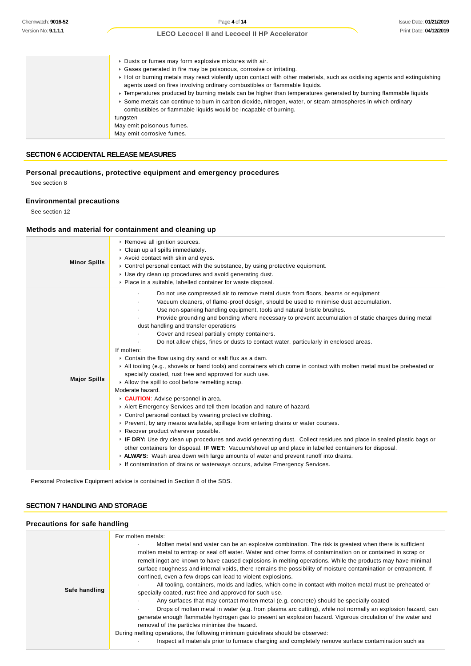| Dusts or fumes may form explosive mixtures with air.                                                                      |
|---------------------------------------------------------------------------------------------------------------------------|
| Gases generated in fire may be poisonous, corrosive or irritating.                                                        |
| ► Hot or burning metals may react violently upon contact with other materials, such as oxidising agents and extinguishing |
| agents used on fires involving ordinary combustibles or flammable liquids.                                                |
| Fremperatures produced by burning metals can be higher than temperatures generated by burning flammable liquids           |
| Some metals can continue to burn in carbon dioxide, nitrogen, water, or steam atmospheres in which ordinary               |
| combustibles or flammable liquids would be incapable of burning.                                                          |
| tungsten                                                                                                                  |
| May emit poisonous fumes.                                                                                                 |
| May emit corrosive fumes.                                                                                                 |

## **SECTION 6 ACCIDENTAL RELEASE MEASURES**

## **Personal precautions, protective equipment and emergency procedures**

See section 8

## **Environmental precautions**

See section 12

## **Methods and material for containment and cleaning up**

| <b>Minor Spills</b> | Remove all ignition sources.<br>Clean up all spills immediately.<br>Avoid contact with skin and eyes.<br>$\triangleright$ Control personal contact with the substance, by using protective equipment.<br>$\triangleright$ Use dry clean up procedures and avoid generating dust.<br>• Place in a suitable, labelled container for waste disposal.                                                                                                                                                                                                                                                                                                                                                                                                                                                                                                                                                                                                                                                                                                                                                                                                                                                                                                                                                                                                                                                                                                                                                                                                                                                    |
|---------------------|------------------------------------------------------------------------------------------------------------------------------------------------------------------------------------------------------------------------------------------------------------------------------------------------------------------------------------------------------------------------------------------------------------------------------------------------------------------------------------------------------------------------------------------------------------------------------------------------------------------------------------------------------------------------------------------------------------------------------------------------------------------------------------------------------------------------------------------------------------------------------------------------------------------------------------------------------------------------------------------------------------------------------------------------------------------------------------------------------------------------------------------------------------------------------------------------------------------------------------------------------------------------------------------------------------------------------------------------------------------------------------------------------------------------------------------------------------------------------------------------------------------------------------------------------------------------------------------------------|
| <b>Major Spills</b> | Do not use compressed air to remove metal dusts from floors, beams or equipment<br>Vacuum cleaners, of flame-proof design, should be used to minimise dust accumulation.<br>Use non-sparking handling equipment, tools and natural bristle brushes.<br>Provide grounding and bonding where necessary to prevent accumulation of static charges during metal<br>dust handling and transfer operations<br>Cover and reseal partially empty containers.<br>Do not allow chips, fines or dusts to contact water, particularly in enclosed areas.<br>If molten:<br>▶ Contain the flow using dry sand or salt flux as a dam.<br>► All tooling (e.g., shovels or hand tools) and containers which come in contact with molten metal must be preheated or<br>specially coated, rust free and approved for such use.<br>Allow the spill to cool before remelting scrap.<br>Moderate hazard.<br>CAUTION: Advise personnel in area.<br>Alert Emergency Services and tell them location and nature of hazard.<br>• Control personal contact by wearing protective clothing.<br>▶ Prevent, by any means available, spillage from entering drains or water courses.<br>Recover product wherever possible.<br>▶ IF DRY: Use dry clean up procedures and avoid generating dust. Collect residues and place in sealed plastic bags or<br>other containers for disposal. IF WET: Vacuum/shovel up and place in labelled containers for disposal.<br>► ALWAYS: Wash area down with large amounts of water and prevent runoff into drains.<br>If contamination of drains or waterways occurs, advise Emergency Services. |

Personal Protective Equipment advice is contained in Section 8 of the SDS.

## **SECTION 7 HANDLING AND STORAGE**

## **Precautions for safe handling**

| For molten metals:<br>Molten metal and water can be an explosive combination. The risk is greatest when there is sufficient<br>molten metal to entrap or seal off water. Water and other forms of contamination on or contained in scrap or<br>remelt ingot are known to have caused explosions in melting operations. While the products may have minimal<br>surface roughness and internal voids, there remains the possibility of moisture contamination or entrapment. If<br>confined, even a few drops can lead to violent explosions.<br>All tooling, containers, molds and ladles, which come in contact with molten metal must be preheated or<br>Safe handling<br>specially coated, rust free and approved for such use.<br>Any surfaces that may contact molten metal (e.g. concrete) should be specially coated<br>Drops of molten metal in water (e.g. from plasma arc cutting), while not normally an explosion hazard, can<br>generate enough flammable hydrogen gas to present an explosion hazard. Vigorous circulation of the water and<br>removal of the particles minimise the hazard.<br>During melting operations, the following minimum guidelines should be observed:<br>Inspect all materials prior to furnace charging and completely remove surface contamination such as |  |
|-----------------------------------------------------------------------------------------------------------------------------------------------------------------------------------------------------------------------------------------------------------------------------------------------------------------------------------------------------------------------------------------------------------------------------------------------------------------------------------------------------------------------------------------------------------------------------------------------------------------------------------------------------------------------------------------------------------------------------------------------------------------------------------------------------------------------------------------------------------------------------------------------------------------------------------------------------------------------------------------------------------------------------------------------------------------------------------------------------------------------------------------------------------------------------------------------------------------------------------------------------------------------------------------------------|--|
|-----------------------------------------------------------------------------------------------------------------------------------------------------------------------------------------------------------------------------------------------------------------------------------------------------------------------------------------------------------------------------------------------------------------------------------------------------------------------------------------------------------------------------------------------------------------------------------------------------------------------------------------------------------------------------------------------------------------------------------------------------------------------------------------------------------------------------------------------------------------------------------------------------------------------------------------------------------------------------------------------------------------------------------------------------------------------------------------------------------------------------------------------------------------------------------------------------------------------------------------------------------------------------------------------------|--|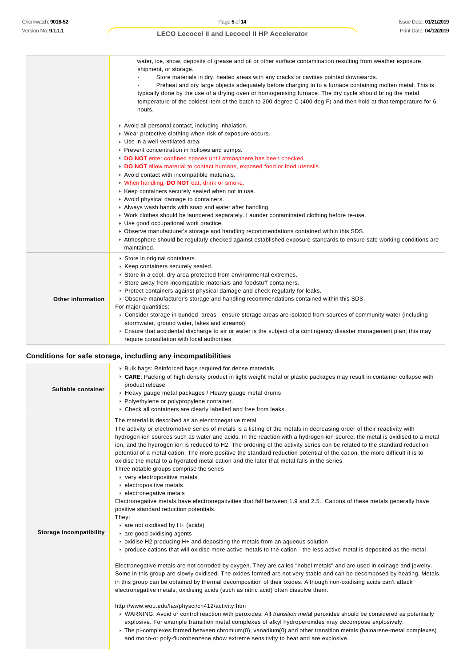|                          | water, ice, snow, deposits of grease and oil or other surface contamination resulting from weather exposure,<br>shipment, or storage.<br>Store materials in dry, heated areas with any cracks or cavities pointed downwards.<br>Preheat and dry large objects adequately before charging in to a furnace containing molten metal. This is<br>typically done by the use of a drying oven or homogenising furnace. The dry cycle should bring the metal<br>temperature of the coldest item of the batch to 200 degree C (400 deg F) and then hold at that temperature for 6<br>hours.                                                                                                                                                                                                                                                                                                                                                                           |
|--------------------------|---------------------------------------------------------------------------------------------------------------------------------------------------------------------------------------------------------------------------------------------------------------------------------------------------------------------------------------------------------------------------------------------------------------------------------------------------------------------------------------------------------------------------------------------------------------------------------------------------------------------------------------------------------------------------------------------------------------------------------------------------------------------------------------------------------------------------------------------------------------------------------------------------------------------------------------------------------------|
|                          | Avoid all personal contact, including inhalation.<br>▶ Wear protective clothing when risk of exposure occurs.<br>Use in a well-ventilated area.<br>▶ Prevent concentration in hollows and sumps.<br>DO NOT enter confined spaces until atmosphere has been checked.<br>DO NOT allow material to contact humans, exposed food or food utensils.<br>Avoid contact with incompatible materials.<br>V When handling, DO NOT eat, drink or smoke.<br>▶ Keep containers securely sealed when not in use.<br>Avoid physical damage to containers.<br>Always wash hands with soap and water after handling.<br>► Work clothes should be laundered separately. Launder contaminated clothing before re-use.<br>Use good occupational work practice.<br>► Observe manufacturer's storage and handling recommendations contained within this SDS.<br>Atmosphere should be regularly checked against established exposure standards to ensure safe working conditions are |
| <b>Other information</b> | maintained.<br>Store in original containers.<br>▶ Keep containers securely sealed.<br>Store in a cool, dry area protected from environmental extremes.<br>Store away from incompatible materials and foodstuff containers.<br>▶ Protect containers against physical damage and check regularly for leaks.<br>► Observe manufacturer's storage and handling recommendations contained within this SDS.<br>For major quantities:<br>▶ Consider storage in bunded areas - ensure storage areas are isolated from sources of community water (including<br>stormwater, ground water, lakes and streams}.<br>Ensure that accidental discharge to air or water is the subject of a contingency disaster management plan; this may<br>require consultation with local authorities.                                                                                                                                                                                   |

## **Conditions for safe storage, including any incompatibilities**

| Suitable container             | ▶ Bulk bags: Reinforced bags required for dense materials.<br>▶ CARE: Packing of high density product in light weight metal or plastic packages may result in container collapse with<br>product release<br>▶ Heavy gauge metal packages / Heavy gauge metal drums<br>• Polyethylene or polypropylene container.<br>▶ Check all containers are clearly labelled and free from leaks.                                                                                                                                                                                                                                                                                                                                                                                                                                                                                                                                                                                                                                                                                                                                                                                                                                                                                                                                                                                                                                                                                                                                                                                                                                                                                                                                                                                                                                                                                                                                                                                                                                                                                                                                                                                                                                                                                                |
|--------------------------------|-------------------------------------------------------------------------------------------------------------------------------------------------------------------------------------------------------------------------------------------------------------------------------------------------------------------------------------------------------------------------------------------------------------------------------------------------------------------------------------------------------------------------------------------------------------------------------------------------------------------------------------------------------------------------------------------------------------------------------------------------------------------------------------------------------------------------------------------------------------------------------------------------------------------------------------------------------------------------------------------------------------------------------------------------------------------------------------------------------------------------------------------------------------------------------------------------------------------------------------------------------------------------------------------------------------------------------------------------------------------------------------------------------------------------------------------------------------------------------------------------------------------------------------------------------------------------------------------------------------------------------------------------------------------------------------------------------------------------------------------------------------------------------------------------------------------------------------------------------------------------------------------------------------------------------------------------------------------------------------------------------------------------------------------------------------------------------------------------------------------------------------------------------------------------------------------------------------------------------------------------------------------------------------|
| <b>Storage incompatibility</b> | The material is described as an electronegative metal.<br>The activity or electromotive series of metals is a listing of the metals in decreasing order of their reactivity with<br>hydrogen-ion sources such as water and acids. In the reaction with a hydrogen-ion source, the metal is oxidised to a metal<br>ion, and the hydrogen ion is reduced to H2. The ordering of the activity series can be related to the standard reduction<br>potential of a metal cation. The more positive the standard reduction potential of the cation, the more difficult it is to<br>oxidise the metal to a hydrated metal cation and the later that metal falls in the series<br>Three notable groups comprise the series<br>very electropositive metals<br>• electropositive metals<br>$\blacktriangleright$ electronegative metals<br>Electronegative metals.have electronegativities that fall between 1.9 and 2.5 Cations of these metals generally have<br>positive standard reduction potentials.<br>They:<br>are not oxidised by H+ (acids)<br>$\triangleright$ are good oxidising agents<br>$\triangleright$ oxidise H2 producing H+ and depositing the metals from an aqueous solution<br>► produce cations that will oxidise more active metals to the cation - the less active metal is deposited as the metal<br>Electronegative metals are not corroded by oxygen. They are called "nobel metals" and are used in coinage and jewelry.<br>Some in this group are slowly oxidised. The oxides formed are not very stable and can be decomposed by heating. Metals<br>in this group can be obtained by thermal decomposition of their oxides. Although non-oxidising acids can't attack<br>electronegative metals, oxidising acids (such as nitric acid) often dissolve them.<br>http://www.wou.edu/las/physci/ch412/activity.htm<br>▶ WARNING: Avoid or control reaction with peroxides. All transition metal peroxides should be considered as potentially<br>explosive. For example transition metal complexes of alkyl hydroperoxides may decompose explosively.<br>▶ The pi-complexes formed between chromium(0), vanadium(0) and other transition metals (haloarene-metal complexes)<br>and mono-or poly-fluorobenzene show extreme sensitivity to heat and are explosive. |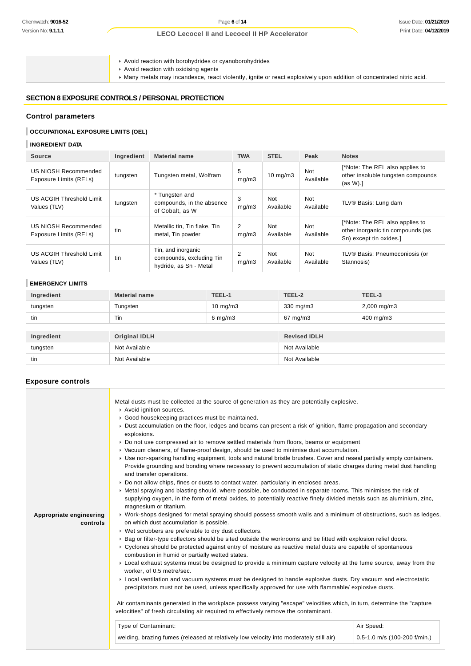Avoid reaction with borohydrides or cyanoborohydrides

Avoid reaction with oxidising agents

Many metals may incandesce, react violently, ignite or react explosively upon addition of concentrated nitric acid.

#### **SECTION 8 EXPOSURE CONTROLS / PERSONAL PROTECTION**

## **Control parameters**

## **OCCUPATIONAL EXPOSURE LIMITS (OEL)**

#### **INGREDIENT DATA**

| <b>Source</b>                                  | Ingredient | <b>Material name</b>                                                     | <b>TWA</b> | <b>STEL</b>       | Peak             | <b>Notes</b>                                                                                    |
|------------------------------------------------|------------|--------------------------------------------------------------------------|------------|-------------------|------------------|-------------------------------------------------------------------------------------------------|
| US NIOSH Recommended<br>Exposure Limits (RELs) | tungsten   | Tungsten metal, Wolfram                                                  | 5<br>mq/m3 | $10 \text{ mg/m}$ | Not<br>Available | [*Note: The REL also applies to<br>other insoluble tungsten compounds<br>$(as W).$ ]            |
| US ACGIH Threshold Limit<br>Values (TLV)       | tungsten   | * Tungsten and<br>compounds, in the absence<br>of Cobalt, as W           | 3<br>mq/m3 | Not<br>Available  | Not<br>Available | TLV® Basis: Lung dam                                                                            |
| US NIOSH Recommended<br>Exposure Limits (RELs) | tin        | Metallic tin, Tin flake, Tin<br>metal, Tin powder                        | 2<br>mg/m3 | Not<br>Available  | Not<br>Available | [*Note: The REL also applies to<br>other inorganic tin compounds (as<br>Sn) except tin oxides.] |
| US ACGIH Threshold Limit<br>Values (TLV)       | tin        | Tin, and inorganic<br>compounds, excluding Tin<br>hydride, as Sn - Metal | 2<br>mg/m3 | Not<br>Available  | Not<br>Available | TLV® Basis: Pneumoconiosis (or<br>Stannosis)                                                    |

## **EMERGENCY LIMITS**

| Ingredient | <b>Material name</b> | TEEL-1             | TEEL-2              | TEEL-3           |
|------------|----------------------|--------------------|---------------------|------------------|
| tungsten   | Tungsten             | $10 \text{ mg/m}$  | 330 mg/m3           | $2,000$ mg/m $3$ |
| tin        | Tin                  | $6 \text{ mg/m}$ 3 | $67 \text{ mg/m}$ 3 | 400 mg/m3        |
|            |                      |                    |                     |                  |
| Ingredient | <b>Original IDLH</b> |                    | <b>Revised IDLH</b> |                  |
| tungsten   | Not Available        |                    | Not Available       |                  |
| tin        | Not Available        |                    | Not Available       |                  |

#### **Exposure controls**

|                                     | Metal dusts must be collected at the source of generation as they are potentially explosive.<br>Avoid ignition sources.<br>Good housekeeping practices must be maintained.<br>► Dust accumulation on the floor, ledges and beams can present a risk of ignition, flame propagation and secondary<br>explosions.<br>▶ Do not use compressed air to remove settled materials from floors, beams or equipment<br>▶ Vacuum cleaners, of flame-proof design, should be used to minimise dust accumulation. |                              |
|-------------------------------------|-------------------------------------------------------------------------------------------------------------------------------------------------------------------------------------------------------------------------------------------------------------------------------------------------------------------------------------------------------------------------------------------------------------------------------------------------------------------------------------------------------|------------------------------|
|                                     | ▶ Use non-sparking handling equipment, tools and natural bristle brushes. Cover and reseal partially empty containers.<br>Provide grounding and bonding where necessary to prevent accumulation of static charges during metal dust handling<br>and transfer operations.                                                                                                                                                                                                                              |                              |
|                                     | ▶ Do not allow chips, fines or dusts to contact water, particularly in enclosed areas.<br>▶ Metal spraying and blasting should, where possible, be conducted in separate rooms. This minimises the risk of<br>supplying oxygen, in the form of metal oxides, to potentially reactive finely divided metals such as aluminium, zinc,<br>magnesium or titanium.                                                                                                                                         |                              |
| Appropriate engineering<br>controls | ► Work-shops designed for metal spraying should possess smooth walls and a minimum of obstructions, such as ledges,<br>on which dust accumulation is possible.<br>▶ Wet scrubbers are preferable to dry dust collectors.                                                                                                                                                                                                                                                                              |                              |
|                                     | ▶ Bag or filter-type collectors should be sited outside the workrooms and be fitted with explosion relief doors.<br>► Cyclones should be protected against entry of moisture as reactive metal dusts are capable of spontaneous<br>combustion in humid or partially wetted states.                                                                                                                                                                                                                    |                              |
|                                     | ▶ Local exhaust systems must be designed to provide a minimum capture velocity at the fume source, away from the<br>worker, of 0.5 metre/sec.                                                                                                                                                                                                                                                                                                                                                         |                              |
|                                     | ► Local ventilation and vacuum systems must be designed to handle explosive dusts. Dry vacuum and electrostatic<br>precipitators must not be used, unless specifically approved for use with flammable/explosive dusts.                                                                                                                                                                                                                                                                               |                              |
|                                     | Air contaminants generated in the workplace possess varying "escape" velocities which, in turn, determine the "capture"<br>velocities" of fresh circulating air required to effectively remove the contaminant.                                                                                                                                                                                                                                                                                       |                              |
|                                     | Type of Contaminant:                                                                                                                                                                                                                                                                                                                                                                                                                                                                                  | Air Speed:                   |
|                                     | welding, brazing fumes (released at relatively low velocity into moderately still air)                                                                                                                                                                                                                                                                                                                                                                                                                | 0.5-1.0 m/s (100-200 f/min.) |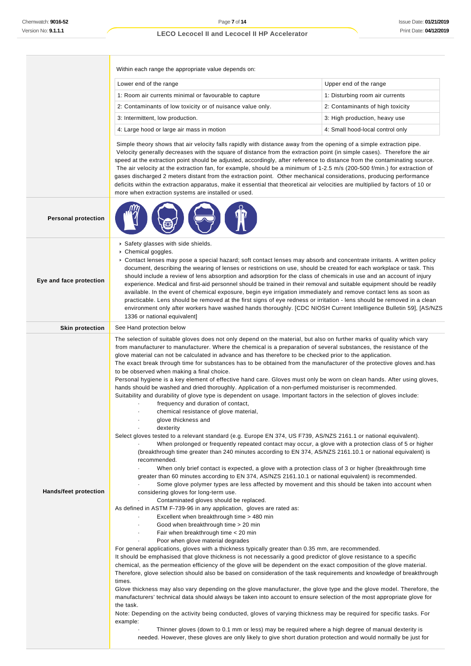**Personal protection**

**Eye and face protection**

#### **LECO Lecocel II and Lecocel II HP Accelerator**

Within each range the appropriate value depends on:

| Lower end of the range                                     | Upper end of the range           |
|------------------------------------------------------------|----------------------------------|
| 1: Room air currents minimal or favourable to capture      | 1: Disturbing room air currents  |
| 2: Contaminants of low toxicity or of nuisance value only. | 2: Contaminants of high toxicity |
| 3: Intermittent, low production.                           | 3: High production, heavy use    |
| 4: Large hood or large air mass in motion                  | 4: Small hood-local control only |

 Simple theory shows that air velocity falls rapidly with distance away from the opening of a simple extraction pipe. Velocity generally decreases with the square of distance from the extraction point (in simple cases). Therefore the air speed at the extraction point should be adjusted, accordingly, after reference to distance from the contaminating source. The air velocity at the extraction fan, for example, should be a minimum of 1-2.5 m/s (200-500 f/min.) for extraction of gases discharged 2 meters distant from the extraction point. Other mechanical considerations, producing performance deficits within the extraction apparatus, make it essential that theoretical air velocities are multiplied by factors of 10 or more when extraction systems are installed or used.

Safety glasses with side shields.

▶ Chemical goggles.

Contact lenses may pose a special hazard; soft contact lenses may absorb and concentrate irritants. A written policy document, describing the wearing of lenses or restrictions on use, should be created for each workplace or task. This should include a review of lens absorption and adsorption for the class of chemicals in use and an account of injury experience. Medical and first-aid personnel should be trained in their removal and suitable equipment should be readily available. In the event of chemical exposure, begin eye irrigation immediately and remove contact lens as soon as practicable. Lens should be removed at the first signs of eye redness or irritation - lens should be removed in a clean environment only after workers have washed hands thoroughly. [CDC NIOSH Current Intelligence Bulletin 59], [AS/NZS 1336 or national equivalent]

**Skin protection** See Hand protection below **Hands/feet protection** The selection of suitable gloves does not only depend on the material, but also on further marks of quality which vary from manufacturer to manufacturer. Where the chemical is a preparation of several substances, the resistance of the glove material can not be calculated in advance and has therefore to be checked prior to the application. The exact break through time for substances has to be obtained from the manufacturer of the protective gloves and.has to be observed when making a final choice. Personal hygiene is a key element of effective hand care. Gloves must only be worn on clean hands. After using gloves, hands should be washed and dried thoroughly. Application of a non-perfumed moisturiser is recommended. Suitability and durability of glove type is dependent on usage. Important factors in the selection of gloves include: frequency and duration of contact, chemical resistance of glove material, glove thickness and dexterity Select gloves tested to a relevant standard (e.g. Europe EN 374, US F739, AS/NZS 2161.1 or national equivalent). When prolonged or frequently repeated contact may occur, a glove with a protection class of 5 or higher (breakthrough time greater than 240 minutes according to EN 374, AS/NZS 2161.10.1 or national equivalent) is recommended. When only brief contact is expected, a glove with a protection class of 3 or higher (breakthrough time greater than 60 minutes according to EN 374, AS/NZS 2161.10.1 or national equivalent) is recommended. Some glove polymer types are less affected by movement and this should be taken into account when considering gloves for long-term use. Contaminated gloves should be replaced. As defined in ASTM F-739-96 in any application, gloves are rated as: Excellent when breakthrough time > 480 min · Good when breakthrough time > 20 min Fair when breakthrough time  $<$  20 min Poor when glove material degrades For general applications, gloves with a thickness typically greater than 0.35 mm, are recommended. It should be emphasised that glove thickness is not necessarily a good predictor of glove resistance to a specific chemical, as the permeation efficiency of the glove will be dependent on the exact composition of the glove material. Therefore, glove selection should also be based on consideration of the task requirements and knowledge of breakthrough times. Glove thickness may also vary depending on the glove manufacturer, the glove type and the glove model. Therefore, the manufacturers' technical data should always be taken into account to ensure selection of the most appropriate glove for the task. Note: Depending on the activity being conducted, gloves of varying thickness may be required for specific tasks. For example: Thinner gloves (down to 0.1 mm or less) may be required where a high degree of manual dexterity is

needed. However, these gloves are only likely to give short duration protection and would normally be just for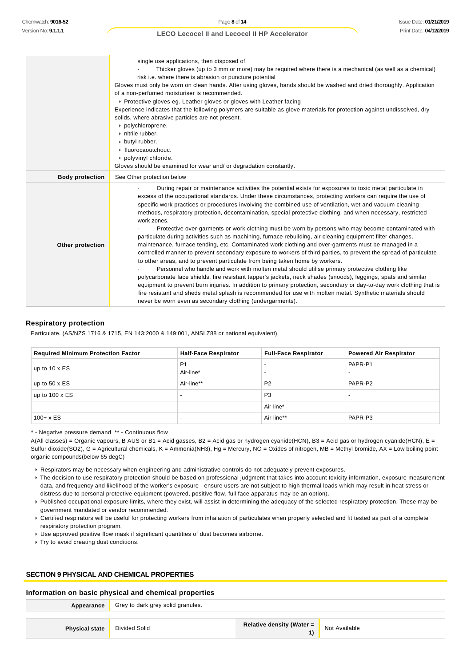|                        | single use applications, then disposed of.                                                                                                                                                                                |
|------------------------|---------------------------------------------------------------------------------------------------------------------------------------------------------------------------------------------------------------------------|
|                        | Thicker gloves (up to 3 mm or more) may be required where there is a mechanical (as well as a chemical)<br>risk i.e. where there is abrasion or puncture potential                                                        |
|                        | Gloves must only be worn on clean hands. After using gloves, hands should be washed and dried thoroughly. Application                                                                                                     |
|                        | of a non-perfumed moisturiser is recommended.                                                                                                                                                                             |
|                        | ▶ Protective gloves eg. Leather gloves or gloves with Leather facing                                                                                                                                                      |
|                        | Experience indicates that the following polymers are suitable as glove materials for protection against undissolved, dry<br>solids, where abrasive particles are not present.                                             |
|                        | polychloroprene.                                                                                                                                                                                                          |
|                        | nitrile rubber.                                                                                                                                                                                                           |
|                        | butyl rubber.                                                                                                                                                                                                             |
|                        | $\cdot$ fluorocaoutchouc.                                                                                                                                                                                                 |
|                        | polyvinyl chloride.                                                                                                                                                                                                       |
|                        | Gloves should be examined for wear and/ or degradation constantly.                                                                                                                                                        |
| <b>Body protection</b> | See Other protection below                                                                                                                                                                                                |
|                        | During repair or maintenance activities the potential exists for exposures to toxic metal particulate in                                                                                                                  |
|                        | excess of the occupational standards. Under these circumstances, protecting workers can require the use of                                                                                                                |
|                        | specific work practices or procedures involving the combined use of ventilation, wet and vacuum cleaning<br>methods, respiratory protection, decontamination, special protective clothing, and when necessary, restricted |
|                        | work zones.                                                                                                                                                                                                               |
|                        | Protective over-garments or work clothing must be worn by persons who may become contaminated with                                                                                                                        |
|                        | particulate during activities such as machining, furnace rebuilding, air cleaning equipment filter changes,                                                                                                               |
| Other protection       | maintenance, furnace tending, etc. Contaminated work clothing and over-garments must be managed in a                                                                                                                      |
|                        | controlled manner to prevent secondary exposure to workers of third parties, to prevent the spread of particulate<br>to other areas, and to prevent particulate from being taken home by workers.                         |
|                        | Personnel who handle and work with molten metal should utilise primary protective clothing like                                                                                                                           |
|                        | polycarbonate face shields, fire resistant tapper's jackets, neck shades (snoods), leggings, spats and similar                                                                                                            |
|                        | equipment to prevent burn injuries. In addition to primary protection, secondary or day-to-day work clothing that is                                                                                                      |
|                        | fire resistant and sheds metal splash is recommended for use with molten metal. Synthetic materials should                                                                                                                |
|                        | never be worn even as secondary clothing (undergarments).                                                                                                                                                                 |

#### **Respiratory protection**

Particulate. (AS/NZS 1716 & 1715, EN 143:2000 & 149:001, ANSI Z88 or national equivalent)

| <b>Required Minimum Protection Factor</b> | <b>Half-Face Respirator</b> | <b>Full-Face Respirator</b> | <b>Powered Air Respirator</b> |
|-------------------------------------------|-----------------------------|-----------------------------|-------------------------------|
| up to $10 \times ES$                      | P <sub>1</sub>              |                             | PAPR-P1                       |
|                                           | Air-line*                   |                             |                               |
| up to $50 \times ES$                      | Air-line**                  | P <sub>2</sub>              | PAPR-P2                       |
| up to $100 \times ES$                     |                             | P <sub>3</sub>              |                               |
|                                           |                             | Air-line*                   |                               |
| $100 + x ES$                              |                             | Air-line**                  | PAPR-P3                       |

\* - Negative pressure demand \*\* - Continuous flow

A(All classes) = Organic vapours, B AUS or B1 = Acid gasses, B2 = Acid gas or hydrogen cyanide(HCN), B3 = Acid gas or hydrogen cyanide(HCN), E = Sulfur dioxide(SO2), G = Agricultural chemicals, K = Ammonia(NH3), Hg = Mercury, NO = Oxides of nitrogen, MB = Methyl bromide, AX = Low boiling point organic compounds(below 65 degC)

Respirators may be necessary when engineering and administrative controls do not adequately prevent exposures.

▶ The decision to use respiratory protection should be based on professional judgment that takes into account toxicity information, exposure measurement data, and frequency and likelihood of the worker's exposure - ensure users are not subject to high thermal loads which may result in heat stress or distress due to personal protective equipment (powered, positive flow, full face apparatus may be an option).

Published occupational exposure limits, where they exist, will assist in determining the adequacy of the selected respiratory protection. These may be government mandated or vendor recommended.

Certified respirators will be useful for protecting workers from inhalation of particulates when properly selected and fit tested as part of a complete respiratory protection program.

Use approved positive flow mask if significant quantities of dust becomes airborne.

**Try to avoid creating dust conditions.** 

## **SECTION 9 PHYSICAL AND CHEMICAL PROPERTIES**

#### **Information on basic physical and chemical properties**

|                       | <b>Appearance</b> Grey to dark grey solid granules. |                                  |               |
|-----------------------|-----------------------------------------------------|----------------------------------|---------------|
|                       |                                                     |                                  |               |
| <b>Physical state</b> | Divided Solid                                       | <b>Relative density (Water =</b> | Not Available |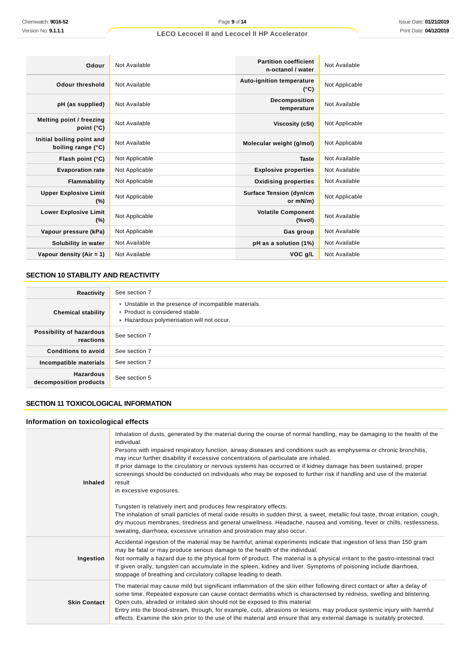| Chemwatch: 9016-52                                                           | Page 9 of 14                                                                                                                                                                                                                                                                                                                                                                                                                                                                                                                                                                                                                                                                                                                                                                                                                                                                                                                                                                                                                                               |                                                   | <b>Issue Date: 01/21/201</b> |
|------------------------------------------------------------------------------|------------------------------------------------------------------------------------------------------------------------------------------------------------------------------------------------------------------------------------------------------------------------------------------------------------------------------------------------------------------------------------------------------------------------------------------------------------------------------------------------------------------------------------------------------------------------------------------------------------------------------------------------------------------------------------------------------------------------------------------------------------------------------------------------------------------------------------------------------------------------------------------------------------------------------------------------------------------------------------------------------------------------------------------------------------|---------------------------------------------------|------------------------------|
| Version No: 9.1.1.1                                                          | <b>LECO Lecocel II and Lecocel II HP Accelerator</b>                                                                                                                                                                                                                                                                                                                                                                                                                                                                                                                                                                                                                                                                                                                                                                                                                                                                                                                                                                                                       |                                                   | Print Date: 04/12/201        |
|                                                                              |                                                                                                                                                                                                                                                                                                                                                                                                                                                                                                                                                                                                                                                                                                                                                                                                                                                                                                                                                                                                                                                            |                                                   |                              |
| Odour                                                                        | Not Available                                                                                                                                                                                                                                                                                                                                                                                                                                                                                                                                                                                                                                                                                                                                                                                                                                                                                                                                                                                                                                              | <b>Partition coefficient</b><br>n-octanol / water | Not Available                |
| <b>Odour threshold</b>                                                       | Not Available                                                                                                                                                                                                                                                                                                                                                                                                                                                                                                                                                                                                                                                                                                                                                                                                                                                                                                                                                                                                                                              | Auto-ignition temperature<br>$(^{\circ}C)$        | Not Applicable               |
| pH (as supplied)                                                             | Not Available                                                                                                                                                                                                                                                                                                                                                                                                                                                                                                                                                                                                                                                                                                                                                                                                                                                                                                                                                                                                                                              | Decomposition<br>temperature                      | Not Available                |
| <b>Melting point / freezing</b><br>point $(^{\circ}C)$                       | Not Available                                                                                                                                                                                                                                                                                                                                                                                                                                                                                                                                                                                                                                                                                                                                                                                                                                                                                                                                                                                                                                              | Viscosity (cSt)                                   | Not Applicable               |
| Initial boiling point and<br>boiling range (°C)                              | Not Available                                                                                                                                                                                                                                                                                                                                                                                                                                                                                                                                                                                                                                                                                                                                                                                                                                                                                                                                                                                                                                              | Molecular weight (g/mol)                          | Not Applicable               |
| Flash point (°C)                                                             | Not Applicable                                                                                                                                                                                                                                                                                                                                                                                                                                                                                                                                                                                                                                                                                                                                                                                                                                                                                                                                                                                                                                             | <b>Taste</b>                                      | Not Available                |
| <b>Evaporation rate</b>                                                      | Not Applicable                                                                                                                                                                                                                                                                                                                                                                                                                                                                                                                                                                                                                                                                                                                                                                                                                                                                                                                                                                                                                                             | <b>Explosive properties</b>                       | Not Available                |
| Flammability                                                                 | Not Applicable                                                                                                                                                                                                                                                                                                                                                                                                                                                                                                                                                                                                                                                                                                                                                                                                                                                                                                                                                                                                                                             | <b>Oxidising properties</b>                       | Not Available                |
| <b>Upper Explosive Limit</b><br>$(\%)$                                       | Not Applicable                                                                                                                                                                                                                                                                                                                                                                                                                                                                                                                                                                                                                                                                                                                                                                                                                                                                                                                                                                                                                                             | <b>Surface Tension (dyn/cm</b><br>or mN/m)        | Not Applicable               |
| <b>Lower Explosive Limit</b><br>$(\%)$                                       | Not Applicable                                                                                                                                                                                                                                                                                                                                                                                                                                                                                                                                                                                                                                                                                                                                                                                                                                                                                                                                                                                                                                             | <b>Volatile Component</b><br>(%vol)               | Not Available                |
| Vapour pressure (kPa)                                                        | Not Applicable                                                                                                                                                                                                                                                                                                                                                                                                                                                                                                                                                                                                                                                                                                                                                                                                                                                                                                                                                                                                                                             | Gas group                                         | Not Available                |
| Solubility in water                                                          | Not Available                                                                                                                                                                                                                                                                                                                                                                                                                                                                                                                                                                                                                                                                                                                                                                                                                                                                                                                                                                                                                                              | pH as a solution (1%)                             | Not Available                |
| Vapour density (Air = 1)                                                     | Not Available                                                                                                                                                                                                                                                                                                                                                                                                                                                                                                                                                                                                                                                                                                                                                                                                                                                                                                                                                                                                                                              | VOC g/L                                           | Not Available                |
| SECTION 10 STABILITY AND REACTIVITY                                          |                                                                                                                                                                                                                                                                                                                                                                                                                                                                                                                                                                                                                                                                                                                                                                                                                                                                                                                                                                                                                                                            |                                                   |                              |
| Reactivity                                                                   | See section 7                                                                                                                                                                                                                                                                                                                                                                                                                                                                                                                                                                                                                                                                                                                                                                                                                                                                                                                                                                                                                                              |                                                   |                              |
| <b>Chemical stability</b>                                                    | • Unstable in the presence of incompatible materials.<br>Product is considered stable.<br>Hazardous polymerisation will not occur.                                                                                                                                                                                                                                                                                                                                                                                                                                                                                                                                                                                                                                                                                                                                                                                                                                                                                                                         |                                                   |                              |
| Possibility of hazardous<br>reactions                                        | See section 7                                                                                                                                                                                                                                                                                                                                                                                                                                                                                                                                                                                                                                                                                                                                                                                                                                                                                                                                                                                                                                              |                                                   |                              |
| <b>Conditions to avoid</b>                                                   | See section 7                                                                                                                                                                                                                                                                                                                                                                                                                                                                                                                                                                                                                                                                                                                                                                                                                                                                                                                                                                                                                                              |                                                   |                              |
| Incompatible materials                                                       | See section 7                                                                                                                                                                                                                                                                                                                                                                                                                                                                                                                                                                                                                                                                                                                                                                                                                                                                                                                                                                                                                                              |                                                   |                              |
| Hazardous<br>decomposition products                                          | See section 5                                                                                                                                                                                                                                                                                                                                                                                                                                                                                                                                                                                                                                                                                                                                                                                                                                                                                                                                                                                                                                              |                                                   |                              |
| SECTION 11 TOXICOLOGICAL INFORMATION<br>Information on toxicological effects |                                                                                                                                                                                                                                                                                                                                                                                                                                                                                                                                                                                                                                                                                                                                                                                                                                                                                                                                                                                                                                                            |                                                   |                              |
| <b>Inhaled</b>                                                               | Inhalation of dusts, generated by the material during the course of normal handling, may be damaging to the health of the<br>individual.<br>Persons with impaired respiratory function, airway diseases and conditions such as emphysema or chronic bronchitis,<br>may incur further disability if excessive concentrations of particulate are inhaled.<br>If prior damage to the circulatory or nervous systems has occurred or if kidney damage has been sustained, proper<br>screenings should be conducted on individuals who may be exposed to further risk if handling and use of the material<br>result<br>in excessive exposures.<br>Tungsten is relatively inert and produces few respiratory effects.<br>The inhalation of small particles of metal oxide results in sudden thirst, a sweet, metallic foul taste, throat irritation, cough,<br>dry mucous membranes, tiredness and general unwellness. Headache, nausea and vomiting, fever or chills, restlessness,<br>sweating, diarrhoea, excessive urination and prostration may also occur. |                                                   |                              |
| Ingestion                                                                    | Accidental ingestion of the material may be harmful; animal experiments indicate that ingestion of less than 150 gram<br>may be fatal or may produce serious damage to the health of the individual.<br>Not normally a hazard due to the physical form of product. The material is a physical irritant to the gastro-intestinal tract<br>If given orally, tungsten can accumulate in the spleen, kidney and liver. Symptoms of poisoning include diarrhoea,<br>stoppage of breathing and circulatory collapse leading to death.                                                                                                                                                                                                                                                                                                                                                                                                                                                                                                                            |                                                   |                              |
| <b>Skin Contact</b>                                                          | The material may cause mild but significant inflammation of the skin either following direct contact or after a delay of<br>some time. Repeated exposure can cause contact dermatitis which is characterised by redness, swelling and blistering.<br>Open cuts, abraded or irritated skin should not be exposed to this material<br>Entry into the blood-stream, through, for example, cuts, abrasions or lesions, may produce systemic injury with harmful<br>effects. Examine the skin prior to the use of the material and ensure that any external damage is suitably protected.                                                                                                                                                                                                                                                                                                                                                                                                                                                                       |                                                   |                              |

## **SECTION 10 STABILITY AND REACTIVITY**

| Reactivity                                 | See section 7                                                                                                                                       |
|--------------------------------------------|-----------------------------------------------------------------------------------------------------------------------------------------------------|
| <b>Chemical stability</b>                  | • Unstable in the presence of incompatible materials.<br>$\triangleright$ Product is considered stable.<br>Hazardous polymerisation will not occur. |
| Possibility of hazardous<br>reactions      | See section 7                                                                                                                                       |
| <b>Conditions to avoid</b>                 | See section 7                                                                                                                                       |
| Incompatible materials                     | See section 7                                                                                                                                       |
| <b>Hazardous</b><br>decomposition products | See section 5                                                                                                                                       |

## **SECTION 11 TOXICOLOGICAL INFORMATION**

## **Information on toxicological effects**

| <b>Inhaled</b>      | Inhalation of dusts, generated by the material during the course of normal handling, may be damaging to the health of the<br>individual.<br>Persons with impaired respiratory function, airway diseases and conditions such as emphysema or chronic bronchitis,<br>may incur further disability if excessive concentrations of particulate are inhaled.<br>If prior damage to the circulatory or nervous systems has occurred or if kidney damage has been sustained, proper<br>screenings should be conducted on individuals who may be exposed to further risk if handling and use of the material<br>result<br>in excessive exposures.<br>Tungsten is relatively inert and produces few respiratory effects.<br>The inhalation of small particles of metal oxide results in sudden thirst, a sweet, metallic foul taste, throat irritation, cough, |
|---------------------|-------------------------------------------------------------------------------------------------------------------------------------------------------------------------------------------------------------------------------------------------------------------------------------------------------------------------------------------------------------------------------------------------------------------------------------------------------------------------------------------------------------------------------------------------------------------------------------------------------------------------------------------------------------------------------------------------------------------------------------------------------------------------------------------------------------------------------------------------------|
|                     | dry mucous membranes, tiredness and general unwellness. Headache, nausea and vomiting, fever or chills, restlessness,<br>sweating, diarrhoea, excessive urination and prostration may also occur.                                                                                                                                                                                                                                                                                                                                                                                                                                                                                                                                                                                                                                                     |
| Ingestion           | Accidental ingestion of the material may be harmful; animal experiments indicate that ingestion of less than 150 gram<br>may be fatal or may produce serious damage to the health of the individual.<br>Not normally a hazard due to the physical form of product. The material is a physical irritant to the gastro-intestinal tract<br>If given orally, tungsten can accumulate in the spleen, kidney and liver. Symptoms of poisoning include diarrhoea,<br>stoppage of breathing and circulatory collapse leading to death.                                                                                                                                                                                                                                                                                                                       |
| <b>Skin Contact</b> | The material may cause mild but significant inflammation of the skin either following direct contact or after a delay of<br>some time. Repeated exposure can cause contact dermatitis which is characterised by redness, swelling and blistering.<br>Open cuts, abraded or irritated skin should not be exposed to this material<br>Entry into the blood-stream, through, for example, cuts, abrasions or lesions, may produce systemic injury with harmful<br>effects. Examine the skin prior to the use of the material and ensure that any external damage is suitably protected.                                                                                                                                                                                                                                                                  |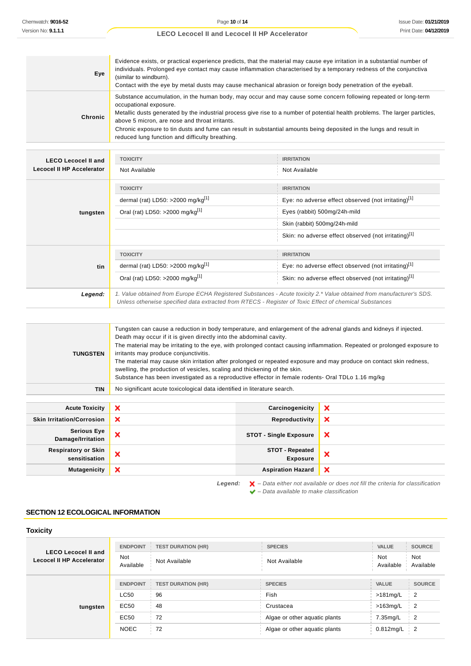| Eye     | Evidence exists, or practical experience predicts, that the material may cause eye irritation in a substantial number of<br>individuals. Prolonged eye contact may cause inflammation characterised by a temporary redness of the conjunctiva<br>(similar to windburn).<br>Contact with the eye by metal dusts may cause mechanical abrasion or foreign body penetration of the eyeball.                                                                                                              |
|---------|-------------------------------------------------------------------------------------------------------------------------------------------------------------------------------------------------------------------------------------------------------------------------------------------------------------------------------------------------------------------------------------------------------------------------------------------------------------------------------------------------------|
| Chronic | Substance accumulation, in the human body, may occur and may cause some concern following repeated or long-term<br>occupational exposure.<br>Metallic dusts generated by the industrial process give rise to a number of potential health problems. The larger particles,<br>above 5 micron, are nose and throat irritants.<br>Chronic exposure to tin dusts and fume can result in substantial amounts being deposited in the lungs and result in<br>reduced lung function and difficulty breathing. |

| <b>LECO Lecocel II and</b> | <b>TOXICITY</b>                                                                                                                                                                                                                 | <b>IRRITATION</b>                                    |
|----------------------------|---------------------------------------------------------------------------------------------------------------------------------------------------------------------------------------------------------------------------------|------------------------------------------------------|
| Lecocel II HP Accelerator  | Not Available                                                                                                                                                                                                                   | Not Available                                        |
|                            | <b>TOXICITY</b>                                                                                                                                                                                                                 | <b>IRRITATION</b>                                    |
| tungsten                   | dermal (rat) LD50: >2000 mg/kg $[1]$                                                                                                                                                                                            | Eye: no adverse effect observed (not irritating)[1]  |
|                            | Oral (rat) LD50: >2000 mg/kg <sup>[1]</sup>                                                                                                                                                                                     | Eyes (rabbit) 500mg/24h-mild                         |
|                            |                                                                                                                                                                                                                                 | Skin (rabbit) 500mg/24h-mild                         |
|                            |                                                                                                                                                                                                                                 | Skin: no adverse effect observed (not irritating)[1] |
|                            | <b>TOXICITY</b>                                                                                                                                                                                                                 | <b>IRRITATION</b>                                    |
| tin                        | dermal (rat) LD50: >2000 mg/kg <sup>[1]</sup>                                                                                                                                                                                   | Eye: no adverse effect observed (not irritating)[1]  |
|                            | Oral (rat) LD50: >2000 mg/kg <sup>[1]</sup>                                                                                                                                                                                     | Skin: no adverse effect observed (not irritating)[1] |
| Legend:                    | 1. Value obtained from Europe ECHA Registered Substances - Acute toxicity 2.* Value obtained from manufacturer's SDS.<br>Unless otherwise specified data extracted from RTECS - Register of Toxic Effect of chemical Substances |                                                      |

| TUNGSTEN                                    | Tungsten can cause a reduction in body temperature, and enlargement of the adrenal glands and kidneys if injected.<br>Death may occur if it is given directly into the abdominal cavity.<br>The material may be irritating to the eye, with prolonged contact causing inflammation. Repeated or prolonged exposure to<br>irritants may produce conjunctivitis.<br>The material may cause skin irritation after prolonged or repeated exposure and may produce on contact skin redness,<br>swelling, the production of vesicles, scaling and thickening of the skin.<br>Substance has been investigated as a reproductive effector in female rodents- Oral TDLo 1.16 mg/kg |                                           |                                                                                                    |
|---------------------------------------------|---------------------------------------------------------------------------------------------------------------------------------------------------------------------------------------------------------------------------------------------------------------------------------------------------------------------------------------------------------------------------------------------------------------------------------------------------------------------------------------------------------------------------------------------------------------------------------------------------------------------------------------------------------------------------|-------------------------------------------|----------------------------------------------------------------------------------------------------|
| <b>TIN</b>                                  | No significant acute toxicological data identified in literature search.                                                                                                                                                                                                                                                                                                                                                                                                                                                                                                                                                                                                  |                                           |                                                                                                    |
|                                             |                                                                                                                                                                                                                                                                                                                                                                                                                                                                                                                                                                                                                                                                           |                                           |                                                                                                    |
| <b>Acute Toxicity</b>                       | ×                                                                                                                                                                                                                                                                                                                                                                                                                                                                                                                                                                                                                                                                         | Carcinogenicity                           | ×                                                                                                  |
| <b>Skin Irritation/Corrosion</b>            | ×                                                                                                                                                                                                                                                                                                                                                                                                                                                                                                                                                                                                                                                                         | Reproductivity                            | ×                                                                                                  |
| <b>Serious Eye</b><br>Damage/Irritation     | ×                                                                                                                                                                                                                                                                                                                                                                                                                                                                                                                                                                                                                                                                         | <b>STOT - Single Exposure</b>             | $\boldsymbol{\mathsf{x}}$                                                                          |
| <b>Respiratory or Skin</b><br>sensitisation | ×                                                                                                                                                                                                                                                                                                                                                                                                                                                                                                                                                                                                                                                                         | <b>STOT - Repeated</b><br><b>Exposure</b> | $\boldsymbol{\mathsf{x}}$                                                                          |
| <b>Mutagenicity</b>                         | ×                                                                                                                                                                                                                                                                                                                                                                                                                                                                                                                                                                                                                                                                         | <b>Aspiration Hazard</b>                  | $\boldsymbol{\mathsf{x}}$                                                                          |
|                                             | Legend:                                                                                                                                                                                                                                                                                                                                                                                                                                                                                                                                                                                                                                                                   |                                           | $\blacktriangleright$ - Data either not available or does not fill the criteria for classification |

 $\blacktriangleright$  – Data available to make classification

## **SECTION 12 ECOLOGICAL INFORMATION**

## **Toxicity**

| <b>LECO Lecocel II and</b><br>Lecocel II HP Accelerator | <b>ENDPOINT</b><br><b>Not</b><br>Available | <b>TEST DURATION (HR)</b><br>Not Available | <b>SPECIES</b><br>Not Available | <b>VALUE</b><br>Not<br>Available | <b>SOURCE</b><br><b>Not</b><br>Available       |
|---------------------------------------------------------|--------------------------------------------|--------------------------------------------|---------------------------------|----------------------------------|------------------------------------------------|
| tungsten                                                | <b>ENDPOINT</b>                            | <b>TEST DURATION (HR)</b>                  | <b>SPECIES</b>                  | <b>VALUE</b>                     | <b>SOURCE</b>                                  |
|                                                         | <b>LC50</b>                                | 96                                         | Fish                            | $>181$ mg/L                      | $\overline{2}$                                 |
|                                                         | EC50                                       | 48                                         | Crustacea                       | $>163$ mg/L                      | $\overline{2}$                                 |
|                                                         | EC50                                       | 72                                         | Algae or other aquatic plants   | 7.35mg/L                         | $\frac{1}{2}$                                  |
|                                                         | <b>NOEC</b>                                | 72                                         | Algae or other aguatic plants   | $0.812$ mg/L                     | $\begin{array}{array}{c} \text{2} \end{array}$ |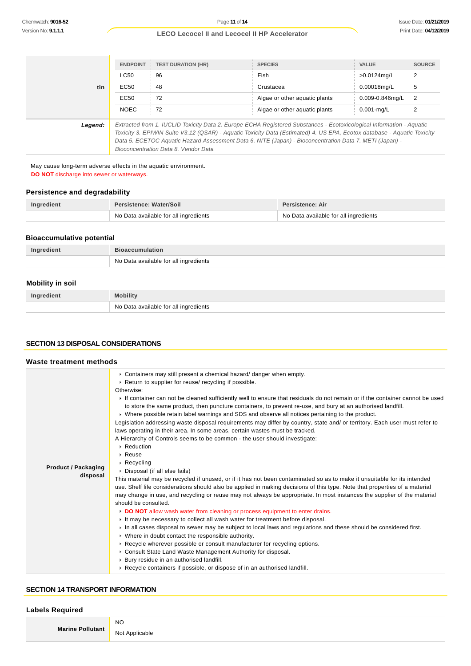|         |                                                                                                                                                                                                                                                                                                                                                                                                    | <b>ENDPOINT   TEST DURATION (HR)</b> | <b>SPECIES</b>                | <b>VALUE</b>    | <b>SOURCE</b>                     |
|---------|----------------------------------------------------------------------------------------------------------------------------------------------------------------------------------------------------------------------------------------------------------------------------------------------------------------------------------------------------------------------------------------------------|--------------------------------------|-------------------------------|-----------------|-----------------------------------|
|         | <b>LC50</b>                                                                                                                                                                                                                                                                                                                                                                                        | 96                                   | Fish                          | >0.0124mg/L     | 2                                 |
| tin     | EC50                                                                                                                                                                                                                                                                                                                                                                                               | 48                                   | Crustacea                     | 0.00018mg/L     | 5                                 |
|         | EC50                                                                                                                                                                                                                                                                                                                                                                                               | 72                                   | Algae or other aguatic plants | 0.009-0.846mg/L | $\begin{array}{cc} 2 \end{array}$ |
|         | <b>NOEC</b>                                                                                                                                                                                                                                                                                                                                                                                        | 72                                   | Algae or other aguatic plants | $0.001$ -mg/L   | 2                                 |
| Legend: | Extracted from 1. IUCLID Toxicity Data 2. Europe ECHA Registered Substances - Ecotoxicological Information - Aquatic<br>Toxicity 3. EPIWIN Suite V3.12 (QSAR) - Aquatic Toxicity Data (Estimated) 4. US EPA, Ecotox database - Aquatic Toxicity<br>Data 5. ECETOC Aguatic Hazard Assessment Data 6. NITE (Japan) - Bioconcentration Data 7. METI (Japan) -<br>Bioconcentration Data 8. Vendor Data |                                      |                               |                 |                                   |

May cause long-term adverse effects in the aquatic environment. **DO NOT** discharge into sewer or waterways.

#### **Persistence and degradability**

| Ingredient | <b>Persistence: Water/Soil</b>        | Persistence: Air                      |
|------------|---------------------------------------|---------------------------------------|
|            | No Data available for all ingredients | No Data available for all ingredients |

## **Bioaccumulative potential**

| Ingredient | <b>Bioaccumulation</b>                  |
|------------|-----------------------------------------|
|            | ↑ No Data available for all ingredients |

## **Mobility in soil**

| Ingredient | <b>Mobility</b>                       |
|------------|---------------------------------------|
|            | No Data available for all ingredients |

## **SECTION 13 DISPOSAL CONSIDERATIONS**

## **Waste treatment methods**

|                            | • Containers may still present a chemical hazard/ danger when empty.                                                                                                                                                                       |
|----------------------------|--------------------------------------------------------------------------------------------------------------------------------------------------------------------------------------------------------------------------------------------|
|                            | ▶ Return to supplier for reuse/ recycling if possible.                                                                                                                                                                                     |
|                            | Otherwise:                                                                                                                                                                                                                                 |
|                            | If container can not be cleaned sufficiently well to ensure that residuals do not remain or if the container cannot be used<br>to store the same product, then puncture containers, to prevent re-use, and bury at an authorised landfill. |
|                            | ► Where possible retain label warnings and SDS and observe all notices pertaining to the product.                                                                                                                                          |
|                            | Legislation addressing waste disposal requirements may differ by country, state and/ or territory. Each user must refer to<br>laws operating in their area. In some areas, certain wastes must be tracked.                                 |
|                            | A Hierarchy of Controls seems to be common - the user should investigate:                                                                                                                                                                  |
|                            | ▶ Reduction                                                                                                                                                                                                                                |
|                            | $\triangleright$ Reuse                                                                                                                                                                                                                     |
|                            | $\triangleright$ Recycling                                                                                                                                                                                                                 |
| <b>Product / Packaging</b> | • Disposal (if all else fails)                                                                                                                                                                                                             |
| disposal                   | This material may be recycled if unused, or if it has not been contaminated so as to make it unsuitable for its intended                                                                                                                   |
|                            | use. Shelf life considerations should also be applied in making decisions of this type. Note that properties of a material                                                                                                                 |
|                            | may change in use, and recycling or reuse may not always be appropriate. In most instances the supplier of the material<br>should be consulted.                                                                                            |
|                            | DO NOT allow wash water from cleaning or process equipment to enter drains.                                                                                                                                                                |
|                            | It may be necessary to collect all wash water for treatment before disposal.                                                                                                                                                               |
|                            | In all cases disposal to sewer may be subject to local laws and regulations and these should be considered first.                                                                                                                          |
|                            | • Where in doubt contact the responsible authority.                                                                                                                                                                                        |
|                            | ► Recycle wherever possible or consult manufacturer for recycling options.                                                                                                                                                                 |
|                            | Consult State Land Waste Management Authority for disposal.                                                                                                                                                                                |
|                            | ▶ Bury residue in an authorised landfill.                                                                                                                                                                                                  |
|                            | $\triangleright$ Recycle containers if possible, or dispose of in an authorised landfill.                                                                                                                                                  |

## **SECTION 14 TRANSPORT INFORMATION**

#### **Labels Required**

**Marine Pollutant**

Not Applicable

NO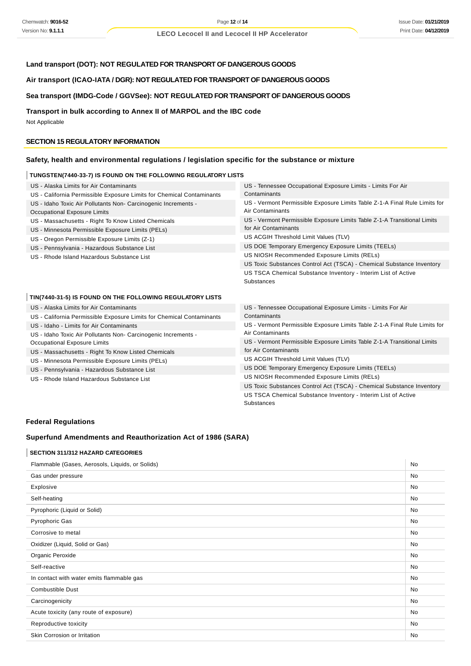## **Land transport (DOT): NOT REGULATED FOR TRANSPORT OF DANGEROUS GOODS**

#### **Air transport (ICAO-IATA / DGR): NOT REGULATED FOR TRANSPORT OF DANGEROUS GOODS**

## **Sea transport (IMDG-Code / GGVSee): NOT REGULATED FOR TRANSPORT OF DANGEROUS GOODS**

#### **Transport in bulk according to Annex II of MARPOL and the IBC code**

Not Applicable

#### **SECTION 15 REGULATORY INFORMATION**

## **Safety, health and environmental regulations / legislation specific for the substance or mixture**

#### **TUNGSTEN(7440-33-7) IS FOUND ON THE FOLLOWING REGULATORY LISTS**

| US - Alaska Limits for Air Contaminants                               | US - Tennessee Occupational Exposure Limits - Limits For Air<br>Contaminants |  |
|-----------------------------------------------------------------------|------------------------------------------------------------------------------|--|
| US - California Permissible Exposure Limits for Chemical Contaminants |                                                                              |  |
| US - Idaho Toxic Air Pollutants Non- Carcinogenic Increments -        | US - Vermont Permissible Exposure Limits Table Z-1-A Final Rule Limits for   |  |
| Occupational Exposure Limits                                          | Air Contaminants                                                             |  |
| US - Massachusetts - Right To Know Listed Chemicals                   | US - Vermont Permissible Exposure Limits Table Z-1-A Transitional Limits     |  |
| US - Minnesota Permissible Exposure Limits (PELs)                     | for Air Contaminants                                                         |  |
| US - Oregon Permissible Exposure Limits (Z-1)                         | US ACGIH Threshold Limit Values (TLV)                                        |  |
| US - Pennsylvania - Hazardous Substance List                          | US DOE Temporary Emergency Exposure Limits (TEELs)                           |  |
| US - Rhode Island Hazardous Substance List                            | US NIOSH Recommended Exposure Limits (RELs)                                  |  |
|                                                                       | US Toxic Substances Control Act (TSCA) - Chemical Substance Inventory        |  |
|                                                                       | US TSCA Chemical Substance Inventory - Interim List of Active                |  |
|                                                                       | <b>Substances</b>                                                            |  |
|                                                                       |                                                                              |  |
| TIN(7440-31-5) IS FOUND ON THE FOLLOWING REGULATORY LISTS             |                                                                              |  |
| US - Alaska Limits for Air Contaminants                               | US - Tennessee Occupational Exposure Limits - Limits For Air                 |  |
| US - California Permissible Exposure Limits for Chemical Contaminants | Contaminants                                                                 |  |

- lifornia Permis
- US Idaho Limits for Air Contaminants
- US Idaho Toxic Air Pollutants Non- Carcinogenic Increments -
- Occupational Exposure Limits
- US Massachusetts Right To Know Listed Chemicals
- US Minnesota Permissible Exposure Limits (PELs)
- US Pennsylvania Hazardous Substance List
- US Rhode Island Hazardous Substance List

US - Vermont Permissible Exposure Limits Table Z-1-A Final Rule Limits for Air Contaminants

- US Vermont Permissible Exposure Limits Table Z-1-A Transitional Limits for Air Contaminants
- US ACGIH Threshold Limit Values (TLV)
- US DOE Temporary Emergency Exposure Limits (TEELs)
- US NIOSH Recommended Exposure Limits (RELs)

US Toxic Substances Control Act (TSCA) - Chemical Substance Inventory US TSCA Chemical Substance Inventory - Interim List of Active Substances

#### **Federal Regulations**

## **Superfund Amendments and Reauthorization Act of 1986 (SARA)**

## **SECTION 311/312 HAZARD CATEGORIES**

| Flammable (Gases, Aerosols, Liquids, or Solids) |    |
|-------------------------------------------------|----|
| Gas under pressure                              | No |
| Explosive                                       | No |
| Self-heating                                    | No |
| Pyrophoric (Liquid or Solid)                    | No |
| <b>Pyrophoric Gas</b>                           | No |
| Corrosive to metal                              | No |
| Oxidizer (Liquid, Solid or Gas)                 | No |
| Organic Peroxide                                | No |
| Self-reactive                                   | No |
| In contact with water emits flammable gas       | No |
| <b>Combustible Dust</b>                         | No |
| Carcinogenicity                                 | No |
| Acute toxicity (any route of exposure)          | No |
| Reproductive toxicity                           | No |
| Skin Corrosion or Irritation                    | No |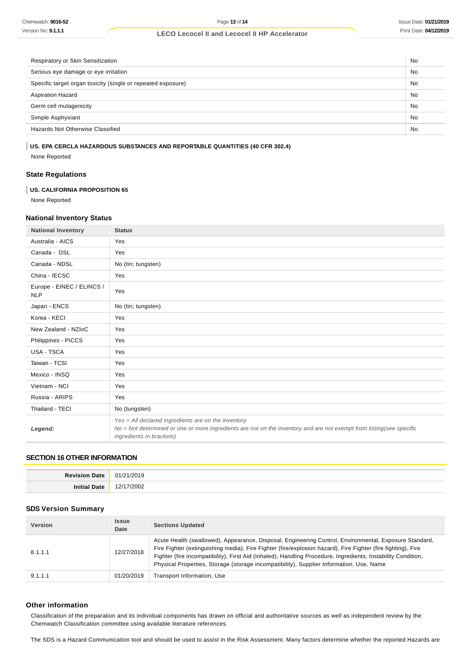| Respiratory or Skin Sensitization                            | No |
|--------------------------------------------------------------|----|
| Serious eye damage or eye irritation                         | No |
| Specific target organ toxicity (single or repeated exposure) | No |
| <b>Aspiration Hazard</b>                                     | No |
| Germ cell mutagenicity                                       | No |
| Simple Asphyxiant                                            | No |
| Hazards Not Otherwise Classified                             | No |

#### **US. EPA CERCLA HAZARDOUS SUBSTANCES AND REPORTABLE QUANTITIES (40 CFR 302.4)**

None Reported

## **State Regulations**

## **US. CALIFORNIA PROPOSITION 65**

None Reported

## **National Inventory Status**

| <b>National Inventory</b>               | <b>Status</b>                                                                                                                                                                                             |
|-----------------------------------------|-----------------------------------------------------------------------------------------------------------------------------------------------------------------------------------------------------------|
| Australia - AICS                        | Yes                                                                                                                                                                                                       |
| Canada - DSL                            | Yes                                                                                                                                                                                                       |
| Canada - NDSL                           | No (tin; tungsten)                                                                                                                                                                                        |
| China - IECSC                           | Yes                                                                                                                                                                                                       |
| Europe - EINEC / ELINCS /<br><b>NLP</b> | Yes                                                                                                                                                                                                       |
| Japan - ENCS                            | No (tin; tungsten)                                                                                                                                                                                        |
| Korea - KECI                            | Yes                                                                                                                                                                                                       |
| New Zealand - NZIoC                     | Yes                                                                                                                                                                                                       |
| Philippines - PICCS                     | Yes                                                                                                                                                                                                       |
| <b>USA - TSCA</b>                       | Yes                                                                                                                                                                                                       |
| Taiwan - TCSI                           | Yes                                                                                                                                                                                                       |
| Mexico - INSQ                           | Yes                                                                                                                                                                                                       |
| Vietnam - NCI                           | Yes                                                                                                                                                                                                       |
| Russia - ARIPS                          | Yes                                                                                                                                                                                                       |
| Thailand - TECI                         | No (tungsten)                                                                                                                                                                                             |
| Legend:                                 | $Yes = All declared ingredients are on the inventory$<br>No = Not determined or one or more ingredients are not on the inventory and are not exempt from listing(see specific<br>ingredients in brackets) |

#### **SECTION 16 OTHER INFORMATION**

| <b>Revision Date</b> | '2019<br>01/2          |
|----------------------|------------------------|
| Initial<br>Date      | $\sim$<br>1012<br>$ -$ |

## **SDS Version Summary**

| <b>Version</b> | <b>Issue</b><br>Date | <b>Sections Updated</b>                                                                                                                                                                                                                                                                                                                                                                                                           |
|----------------|----------------------|-----------------------------------------------------------------------------------------------------------------------------------------------------------------------------------------------------------------------------------------------------------------------------------------------------------------------------------------------------------------------------------------------------------------------------------|
| 8.1.1.1        | 12/27/2018           | Acute Health (swallowed), Appearance, Disposal, Engineering Control, Environmental, Exposure Standard,<br>Fire Fighter (extinguishing media), Fire Fighter (fire/explosion hazard), Fire Fighter (fire fighting), Fire<br>Fighter (fire incompatibility), First Aid (inhaled), Handling Procedure, Ingredients, Instability Condition,<br>Physical Properties, Storage (storage incompatibility), Supplier Information, Use, Name |
| 9.1.1.1        | 01/20/2019           | Transport Information, Use                                                                                                                                                                                                                                                                                                                                                                                                        |

#### **Other information**

Classification of the preparation and its individual components has drawn on official and authoritative sources as well as independent review by the Chemwatch Classification committee using available literature references.

The SDS is a Hazard Communication tool and should be used to assist in the Risk Assessment. Many factors determine whether the reported Hazards are